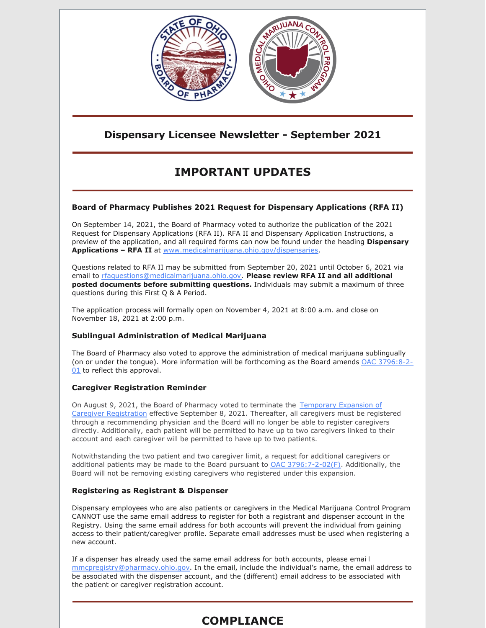

## **Dispensary Licensee Newsletter - September 2021**

# **IMPORTANT UPDATES**

### **Board of Pharmacy Publishes 2021 Request for Dispensary Applications (RFA II)**

On September 14, 2021, the Board of Pharmacy voted to authorize the publication of the 2021 Request for Dispensary Applications (RFA II). RFA II and Dispensary Application Instructions, a preview of the application, and all required forms can now be found under the heading **Dispensary Applications – RFA II** at [www.medicalmarijuana.ohio.gov/dispensaries](https://gcc02.safelinks.protection.outlook.com/?url=http%3A%2F%2Fwww.medicalmarijuana.ohio.gov%2Fdispensaries&data=04%7C01%7CSharon.Maerten-Moore%40pharmacy.ohio.gov%7C70ccc7d122904ae7467f08d9791dd0ca%7C50f8fcc494d84f0784eb36ed57c7c8a2%7C0%7C0%7C637673991221017683%7CUnknown%7CTWFpbGZsb3d8eyJWIjoiMC4wLjAwMDAiLCJQIjoiV2luMzIiLCJBTiI6Ik1haWwiLCJXVCI6Mn0%3D%7C1000&sdata=JefQgb3%2F%2BeLPFbuN4eaNxm6P0dla%2B9zG1LlB3iG9JBo%3D&reserved=0).

Questions related to RFA II may be submitted from September 20, 2021 until October 6, 2021 via email to [rfaquestions@medicalmarijuana.ohio.gov](mailto:rfaquestions@medicalmarijuana.ohio.gov). **Please review RFA II and all additional posted documents before submitting questions.** Individuals may submit a maximum of three questions during this First Q & A Period.

The application process will formally open on November 4, 2021 at 8:00 a.m. and close on November 18, 2021 at 2:00 p.m.

### **Sublingual Administration of Medical Marijuana**

The Board of Pharmacy also voted to approve the administration of medical marijuana sublingually (on or under the tongue). More information will be [forthcoming](https://codes.ohio.gov/ohio-administrative-code/rule-3796:8-2-01) as the Board amends OAC 3796:8-2- 01 to reflect this approval.

#### **Caregiver Registration Reminder**

On August 9, 2021, the Board of Pharmacy voted to terminate the Temporary Expansion of Caregiver [Registration](https://www.medicalmarijuana.ohio.gov/Documents/CoronaVirus/Temporary Expansion of Caregiver Registration.pdf) effective September 8, 2021. Thereafter, all caregivers must be registered through a recommending physician and the Board will no longer be able to register caregivers directly. Additionally, each patient will be permitted to have up to two caregivers linked to their account and each caregiver will be permitted to have up to two patients.

Notwithstanding the two patient and two caregiver limit, a request for additional caregivers or additional patients may be made to the Board pursuant to OAC [3796:7-2-02\(F\)](https://codes.ohio.gov/ohio-administrative-code/rule-3796:7-2-02). Additionally, the Board will not be removing existing caregivers who registered under this expansion.

#### **Registering as Registrant & Dispenser**

Dispensary employees who are also patients or caregivers in the Medical Marijuana Control Program CANNOT use the same email address to register for both a registrant and dispenser account in the Registry. Using the same email address for both accounts will prevent the individual from gaining access to their patient/caregiver profile. Separate email addresses must be used when registering a new account.

If a dispenser has already used the same email address for both accounts, please emai l [mmcpregistry@pharmacy.ohio.gov](mailto:mmcpregistry@pharmacy.ohio.gov). In the email, include the individual's name, the email address to be associated with the dispenser account, and the (different) email address to be associated with the patient or caregiver registration account.

# **COMPLIANCE**